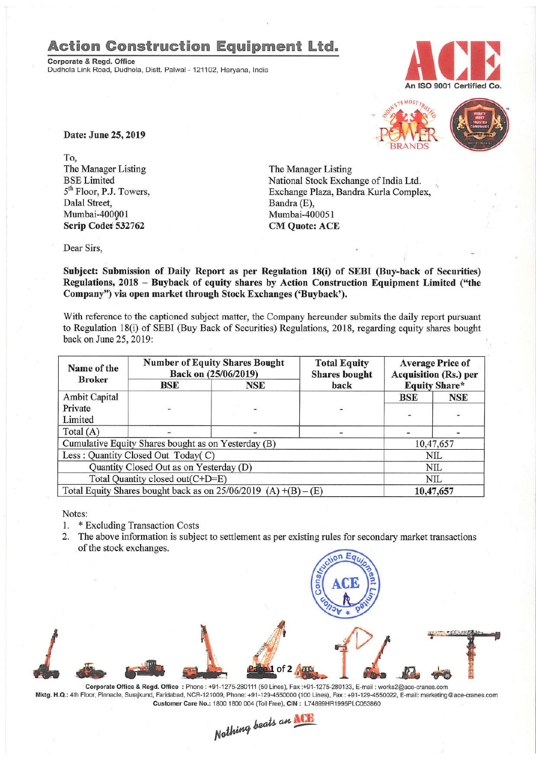## Action Construction Equipment Ltd..

Corporate & Regd. Office Dudhola Link Road, Dudhola, Distt. Palwal- 121102, Haryana, India





Date: June 25, 2019

To, The Manager Listing BSELimited 5<sup>th</sup> Floor, P.J. Towers, Dalal Street, Mumbai-400QO1 Scrip Codet 532762

The Manager Listing National Stock Exchange of India Ltd. Exchange Plaza, Bandra Kurla Complex, Bandra (E), Mumbai-400051 CM Quote: ACE

Dear Sirs,

Subject: Submission of Daily Report as per Regulation 18(i) of SEBI (Buy-back of Securities) Regulations, 2018 - Buyback of equity shares by Action Construction Equipment Limited ("the Company") via open market through Stock Exchanges ('Buyback').

With reference to the captioned subject matter, the Company hereunder submits the daily report pursuant to Regulation lS(i) of SEBI (Buy Back of Securities) Regulations, 201S, regarding equity shares bought back on June 25,2019:

| Name of the<br><b>Broker</b>                                      | <b>Number of Equity Shares Bought</b><br>Back on (25/06/2019) |     | <b>Total Equity</b><br><b>Shares</b> bought | <b>Average Price of</b><br><b>Acquisition (Rs.) per</b> |            |  |
|-------------------------------------------------------------------|---------------------------------------------------------------|-----|---------------------------------------------|---------------------------------------------------------|------------|--|
|                                                                   | BSE                                                           | NSE | back                                        | <b>Equity Share*</b>                                    |            |  |
| <b>Ambit Capital</b>                                              |                                                               |     |                                             | BSE                                                     | <b>NSE</b> |  |
| Private                                                           |                                                               |     |                                             |                                                         |            |  |
| Limited                                                           |                                                               |     |                                             |                                                         |            |  |
| Total $(A)$                                                       |                                                               |     |                                             |                                                         |            |  |
| Cumulative Equity Shares bought as on Yesterday (B)               |                                                               |     |                                             |                                                         | 10,47,657  |  |
| Less: Quantity Closed Out Today(C)                                |                                                               |     |                                             | NIL                                                     |            |  |
| Quantity Closed Out as on Yesterday (D)                           |                                                               |     |                                             | NIL                                                     |            |  |
| Total Quantity closed out(C+D=E)                                  |                                                               |     |                                             | NIL                                                     |            |  |
| Total Equity Shares bought back as on $25/06/2019$ (A) +(B) – (E) |                                                               |     |                                             | 10,47,657                                               |            |  |

Notes:

- 1. \* Excluding Transaction Costs
- 2. The above information is subject to settlement as per existing rules for secondary market transactions of the stock exchanges.



Corporate Office & Regd. Office: Phone: +91·1275,280111(50 Lines), Fax :+91-1275-280133,E-mail: works2@ace-cranes.com Mktg. H.Q.: 4th Floor, Pinnacle,Surajkund, Faridabad, NCR·121009, Phone:+91-129·4550000 (100 Lines), Fax: +91-129-4550022, E-mail:marketlng@ace·cranes.com Customer Care No.: 1800 1800 004 (Toll Free), CIN: L74899HR1995PLC053860<br>
Nathing beats an **NCH**